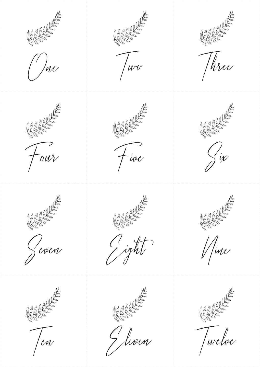

 $\binom{l}{l}$ ne



 $\mathcal{U}$ 

REFERE

 $F<sub>ive</sub>$ 



Three

REFERE

 $\int\limits_{\mathcal{N}}$ ix









*Mine* 









Twelve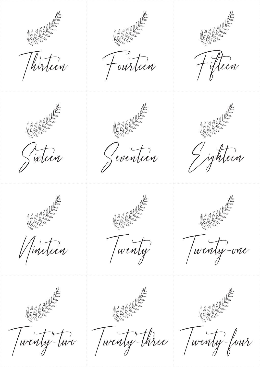

Thirteen



Fourteen







Sixteen



Vincteen



wenty-two



Geventeen



J ighteen





Twenty-one





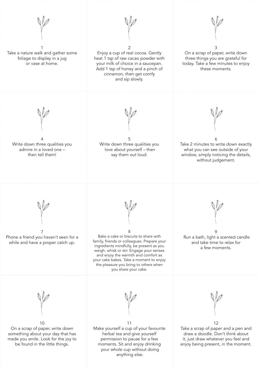

 your whole cup without doing anything else.

Take a scrap of paper and a pen and draw a doodle. Don't think about it, just draw whatever you feel and enjoy being present, in the moment.